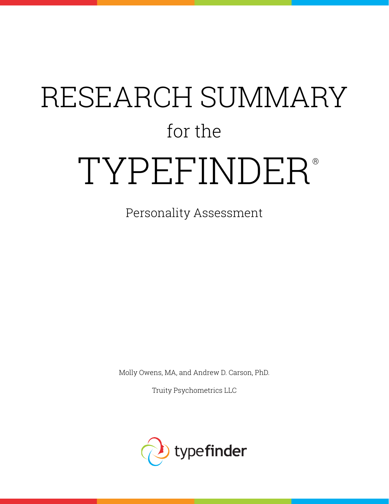# RESEARCH SUMMARY for the TYPEFINDER ®

Personality Assessment

Molly Owens, MA, and Andrew D. Carson, PhD.

Truity Psychometrics LLC

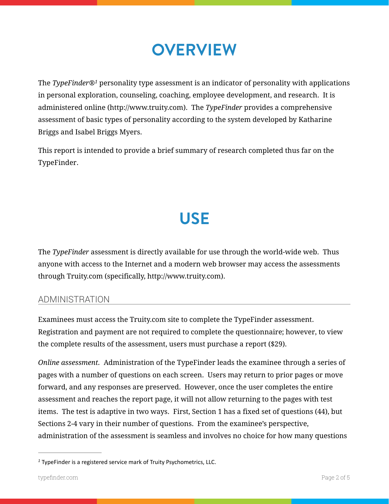### **OVERVIEW**

The *TypeFinder®<sup>1</sup>* personality type assessment is an indicator of personality with applications in personal exploration, counseling, coaching, employee development, and research. It is administered online (http://www.truity.com). The *TypeFinder* provides a comprehensive assessment of basic types of personality according to the system developed by Katharine Briggs and Isabel Briggs Myers.

This report is intended to provide a brief summary of research completed thus far on the TypeFinder.

## **USE**

The *TypeFinder* assessment is directly available for use through the world-wide web. Thus anyone with access to the Internet and a modern web browser may access the assessments through Truity.com (specifically, http://www.truity.com).

#### ADMINISTRATION

Examinees must access the Truity.com site to complete the TypeFinder assessment. Registration and payment are not required to complete the questionnaire; however, to view the complete results of the assessment, users must purchase a report (\$29).

*Online assessment.* Administration of the TypeFinder leads the examinee through a series of pages with a number of questions on each screen. Users may return to prior pages or move forward, and any responses are preserved. However, once the user completes the entire assessment and reaches the report page, it will not allow returning to the pages with test items. The test is adaptive in two ways. First, Section 1 has a fixed set of questions (44), but Sections 2-4 vary in their number of questions. From the examinee's perspective, administration of the assessment is seamless and involves no choice for how many questions

 $1$  TypeFinder is a registered service mark of Truity Psychometrics, LLC.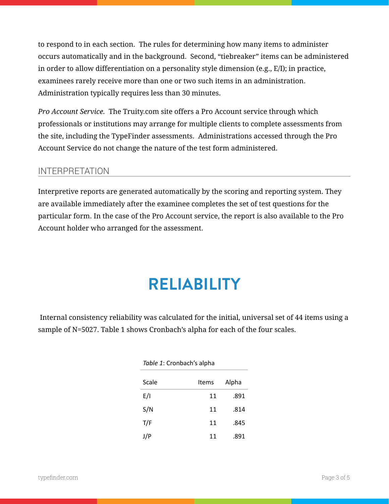to respond to in each section. The rules for determining how many items to administer occurs automatically and in the background. Second, "tiebreaker" items can be administered in order to allow differentiation on a personality style dimension (e.g., E/I); in practice, examinees rarely receive more than one or two such items in an administration. Administration typically requires less than 30 minutes.

*Pro Account Service.* The Truity.com site offers a Pro Account service through which professionals or institutions may arrange for multiple clients to complete assessments from the site, including the TypeFinder assessments. Administrations accessed through the Pro Account Service do not change the nature of the test form administered.

#### INTERPRETATION

Interpretive reports are generated automatically by the scoring and reporting system. They are available immediately after the examinee completes the set of test questions for the particular form. In the case of the Pro Account service, the report is also available to the Pro Account holder who arranged for the assessment.

### **RELIABILITY**

 Internal consistency reliability was calculated for the initial, universal set of 44 items using a sample of N=5027. Table 1 shows Cronbach's alpha for each of the four scales.

| Scale | Items | Alpha |
|-------|-------|-------|
| E/I   | 11    | .891  |
| S/N   | 11    | .814  |
| T/F   | 11    | .845  |
| J/P   | 11    | .891  |

Table 1: Cronbach's alpha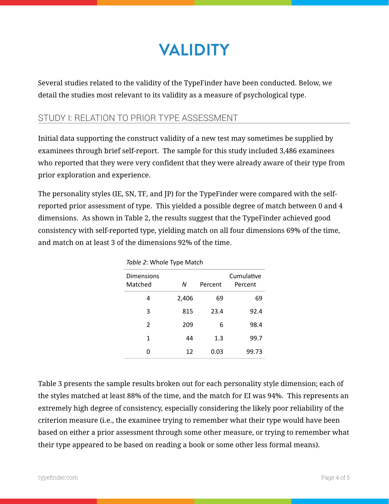### **VALIDITY**

Several studies related to the validity of the TypeFinder have been conducted. Below, we detail the studies most relevant to its validity as a measure of psychological type.

#### STUDY I: RELATION TO PRIOR TYPE ASSESSMENT

Initial data supporting the construct validity of a new test may sometimes be supplied by examinees through brief self-report. The sample for this study included 3,486 examinees who reported that they were very confident that they were already aware of their type from prior exploration and experience.

The personality styles (IE, SN, TF, and JP) for the TypeFinder were compared with the selfreported prior assessment of type. This yielded a possible degree of match between 0 and 4 dimensions. As shown in Table 2, the results suggest that the TypeFinder achieved good consistency with self-reported type, yielding match on all four dimensions 69% of the time, and match on at least 3 of the dimensions 92% of the time.

|                              | . .   |         |                       |
|------------------------------|-------|---------|-----------------------|
| <b>Dimensions</b><br>Matched | N     | Percent | Cumulative<br>Percent |
| 4                            | 2,406 | 69      | 69                    |
| 3                            | 815   | 23.4    | 92.4                  |
| 2                            | 209   | 6       | 98.4                  |
| 1                            | 44    | 1.3     | 99.7                  |
| ი                            | 12    | 0.03    | 99.73                 |
|                              |       |         |                       |

Table 2: Whole Type Match

Table 3 presents the sample results broken out for each personality style dimension; each of the styles matched at least 88% of the time, and the match for EI was 94%. This represents an extremely high degree of consistency, especially considering the likely poor reliability of the criterion measure (i.e., the examinee trying to remember what their type would have been based on either a prior assessment through some other measure, or trying to remember what their type appeared to be based on reading a book or some other less formal means).